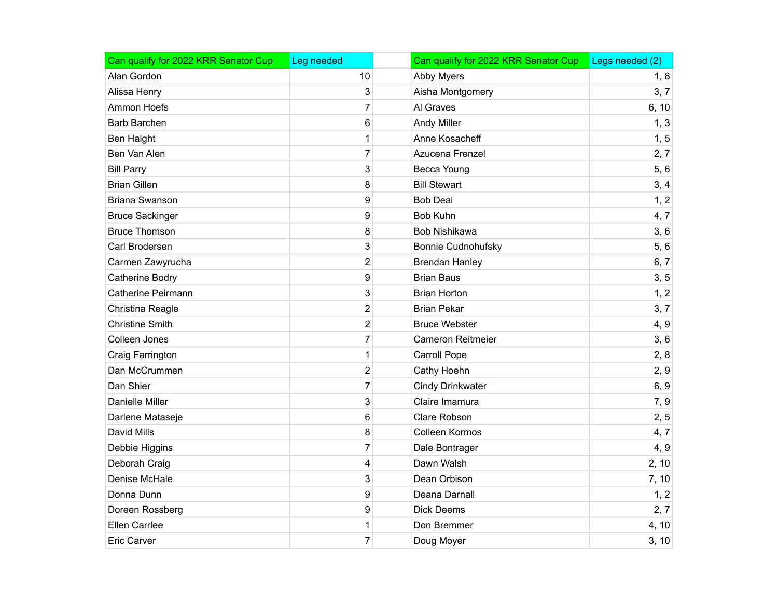| Can qualify for 2022 KRR Senator Cup | Leg needed     | Can qualify for 2022 KRR Senator Cup | Legs needed (2) |
|--------------------------------------|----------------|--------------------------------------|-----------------|
| Alan Gordon                          | 10             | Abby Myers                           | 1, 8            |
| Alissa Henry                         | 3              | Aisha Montgomery                     | 3, 7            |
| Ammon Hoefs                          | $\overline{7}$ | Al Graves                            | 6, 10           |
| Barb Barchen                         | 6              | <b>Andy Miller</b>                   | 1, 3            |
| Ben Haight                           | $\mathbf 1$    | Anne Kosacheff                       | 1, 5            |
| Ben Van Alen                         | $\overline{7}$ | Azucena Frenzel                      | 2, 7            |
| <b>Bill Parry</b>                    | 3              | Becca Young                          | 5,6             |
| <b>Brian Gillen</b>                  | 8              | <b>Bill Stewart</b>                  | 3, 4            |
| <b>Briana Swanson</b>                | 9              | <b>Bob Deal</b>                      | 1, 2            |
| <b>Bruce Sackinger</b>               | 9              | <b>Bob Kuhn</b>                      | 4, 7            |
| <b>Bruce Thomson</b>                 | 8              | Bob Nishikawa                        | 3, 6            |
| Carl Brodersen                       | 3              | Bonnie Cudnohufsky                   | 5,6             |
| Carmen Zawyrucha                     | $\overline{c}$ | <b>Brendan Hanley</b>                | 6, 7            |
| Catherine Bodry                      | 9              | <b>Brian Baus</b>                    | 3, 5            |
| <b>Catherine Peirmann</b>            | 3              | <b>Brian Horton</b>                  | 1, 2            |
| Christina Reagle                     | $\overline{c}$ | <b>Brian Pekar</b>                   | 3, 7            |
| <b>Christine Smith</b>               | $\overline{2}$ | <b>Bruce Webster</b>                 | 4, 9            |
| Colleen Jones                        | $\overline{7}$ | <b>Cameron Reitmeier</b>             | 3, 6            |
| Craig Farrington                     | $\mathbf 1$    | <b>Carroll Pope</b>                  | 2, 8            |
| Dan McCrummen                        | $\overline{c}$ | Cathy Hoehn                          | 2, 9            |
| Dan Shier                            | $\overline{7}$ | <b>Cindy Drinkwater</b>              | 6, 9            |
| <b>Danielle Miller</b>               | 3              | Claire Imamura                       | 7, 9            |
| Darlene Mataseje                     | 6              | Clare Robson                         | 2, 5            |
| David Mills                          | 8              | Colleen Kormos                       | 4, 7            |
| Debbie Higgins                       | $\overline{7}$ | Dale Bontrager                       | 4, 9            |
| Deborah Craig                        | 4              | Dawn Walsh                           | 2, 10           |
| Denise McHale                        | 3              | Dean Orbison                         | 7, 10           |
| Donna Dunn                           | 9              | Deana Darnall                        | 1, 2            |
| Doreen Rossberg                      | 9              | <b>Dick Deems</b>                    | 2, 7            |
| Ellen Carrlee                        | 1              | Don Bremmer                          | 4, 10           |
| <b>Eric Carver</b>                   | $\overline{7}$ | Doug Moyer                           | 3, 10           |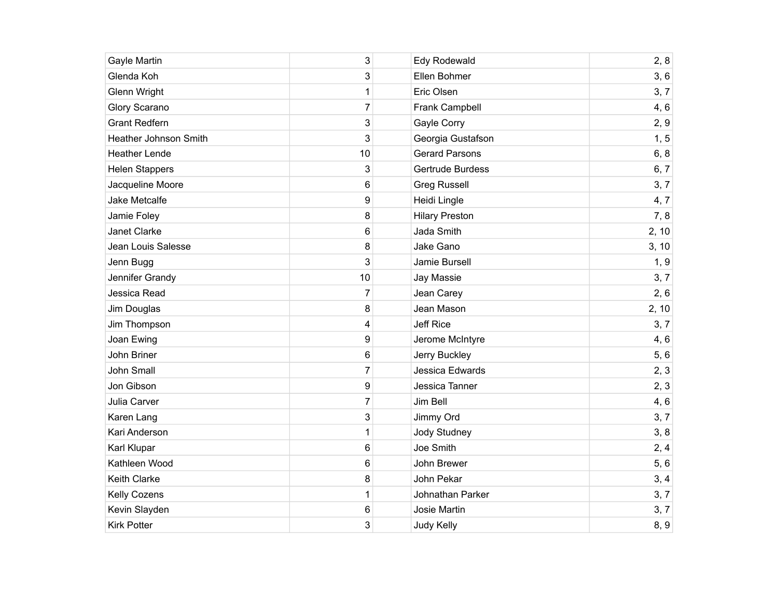| Gayle Martin          | 3              | Edy Rodewald          | 2, 8  |
|-----------------------|----------------|-----------------------|-------|
| Glenda Koh            | 3              | Ellen Bohmer          | 3, 6  |
| <b>Glenn Wright</b>   | $\mathbf 1$    | Eric Olsen            | 3, 7  |
| Glory Scarano         | 7              | Frank Campbell        | 4,6   |
| <b>Grant Redfern</b>  | 3              | Gayle Corry           | 2, 9  |
| Heather Johnson Smith | 3              | Georgia Gustafson     | 1, 5  |
| <b>Heather Lende</b>  | 10             | <b>Gerard Parsons</b> | 6, 8  |
| <b>Helen Stappers</b> | 3              | Gertrude Burdess      | 6, 7  |
| Jacqueline Moore      | 6              | <b>Greg Russell</b>   | 3, 7  |
| Jake Metcalfe         | 9              | Heidi Lingle          | 4, 7  |
| Jamie Foley           | 8              | <b>Hilary Preston</b> | 7,8   |
| Janet Clarke          | 6              | Jada Smith            | 2, 10 |
| Jean Louis Salesse    | 8              | Jake Gano             | 3, 10 |
| Jenn Bugg             | 3              | Jamie Bursell         | 1, 9  |
| Jennifer Grandy       | 10             | Jay Massie            | 3, 7  |
| Jessica Read          | 7              | Jean Carey            | 2, 6  |
| Jim Douglas           | 8              | Jean Mason            | 2, 10 |
| Jim Thompson          | 4              | Jeff Rice             | 3, 7  |
| Joan Ewing            | 9              | Jerome McIntyre       | 4, 6  |
| John Briner           | 6              | Jerry Buckley         | 5,6   |
| <b>John Small</b>     | 7              | Jessica Edwards       | 2, 3  |
| Jon Gibson            | 9              | Jessica Tanner        | 2, 3  |
| Julia Carver          | $\overline{7}$ | Jim Bell              | 4, 6  |
| Karen Lang            | 3              | Jimmy Ord             | 3, 7  |
| Kari Anderson         | $\mathbf 1$    | Jody Studney          | 3, 8  |
| Karl Klupar           | 6              | Joe Smith             | 2, 4  |
| Kathleen Wood         | 6              | John Brewer           | 5,6   |
| Keith Clarke          | 8              | John Pekar            | 3, 4  |
| Kelly Cozens          | $\mathbf 1$    | Johnathan Parker      | 3, 7  |
| Kevin Slayden         | 6              | Josie Martin          | 3, 7  |
| <b>Kirk Potter</b>    | 3              | Judy Kelly            | 8, 9  |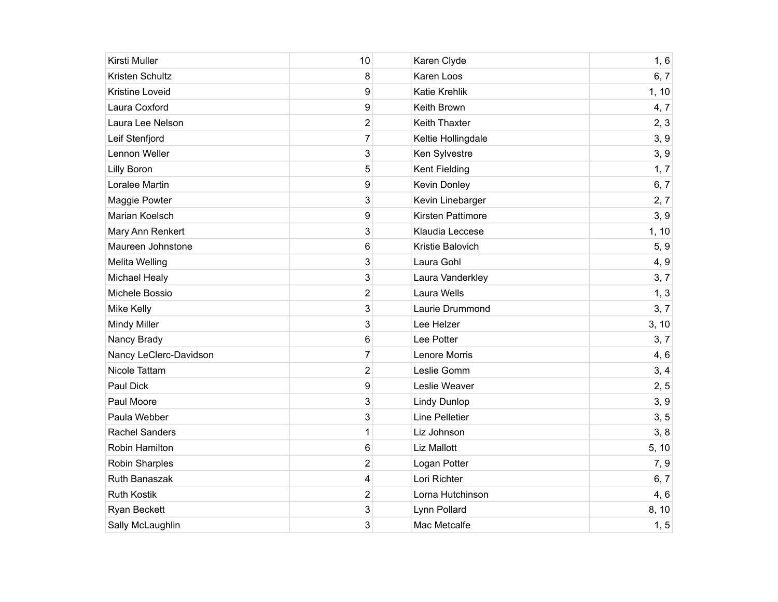| Kirsti Muller          | 10                      | Karen Clyde           | 1, 6  |
|------------------------|-------------------------|-----------------------|-------|
| Kristen Schultz        | 8                       | Karen Loos            | 6, 7  |
| <b>Kristine Loveid</b> | 9                       | <b>Katie Krehlik</b>  | 1, 10 |
| Laura Coxford          | 9                       | Keith Brown           | 4,7   |
| Laura Lee Nelson       | $\overline{\mathbf{c}}$ | <b>Keith Thaxter</b>  | 2, 3  |
| Leif Stenfjord         | $\overline{7}$          | Keltie Hollingdale    | 3, 9  |
| Lennon Weller          | 3                       | Ken Sylvestre         | 3, 9  |
| <b>Lilly Boron</b>     | 5                       | <b>Kent Fielding</b>  | 1, 7  |
| Loralee Martin         | 9                       | Kevin Donley          | 6, 7  |
| Maggie Powter          | 3                       | Kevin Linebarger      | 2, 7  |
| Marian Koelsch         | 9                       | Kirsten Pattimore     | 3, 9  |
| Mary Ann Renkert       | 3                       | Klaudia Leccese       | 1, 10 |
| Maureen Johnstone      | 6                       | Kristie Balovich      | 5, 9  |
| Melita Welling         | 3                       | Laura Gohl            | 4, 9  |
| <b>Michael Healy</b>   | 3                       | Laura Vanderkley      | 3, 7  |
| Michele Bossio         | $\overline{2}$          | Laura Wells           | 1, 3  |
| <b>Mike Kelly</b>      | 3                       | Laurie Drummond       | 3, 7  |
| <b>Mindy Miller</b>    | 3                       | Lee Helzer            | 3, 10 |
| Nancy Brady            | 6                       | Lee Potter            | 3, 7  |
| Nancy LeClerc-Davidson | $\overline{7}$          | Lenore Morris         | 4, 6  |
| Nicole Tattam          | $\overline{2}$          | Leslie Gomm           | 3, 4  |
| Paul Dick              | 9                       | Leslie Weaver         | 2, 5  |
| Paul Moore             | 3                       | <b>Lindy Dunlop</b>   | 3, 9  |
| Paula Webber           | 3                       | <b>Line Pelletier</b> | 3, 5  |
| <b>Rachel Sanders</b>  | $\mathbf 1$             | Liz Johnson           | 3, 8  |
| Robin Hamilton         | 6                       | Liz Mallott           | 5, 10 |
| Robin Sharples         | $\overline{2}$          | Logan Potter          | 7,9   |
| Ruth Banaszak          | 4                       | Lori Richter          | 6, 7  |
| <b>Ruth Kostik</b>     | 2                       | Lorna Hutchinson      | 4, 6  |
| Ryan Beckett           | 3                       | Lynn Pollard          | 8, 10 |
| Sally McLaughlin       | 3                       | Mac Metcalfe          | 1, 5  |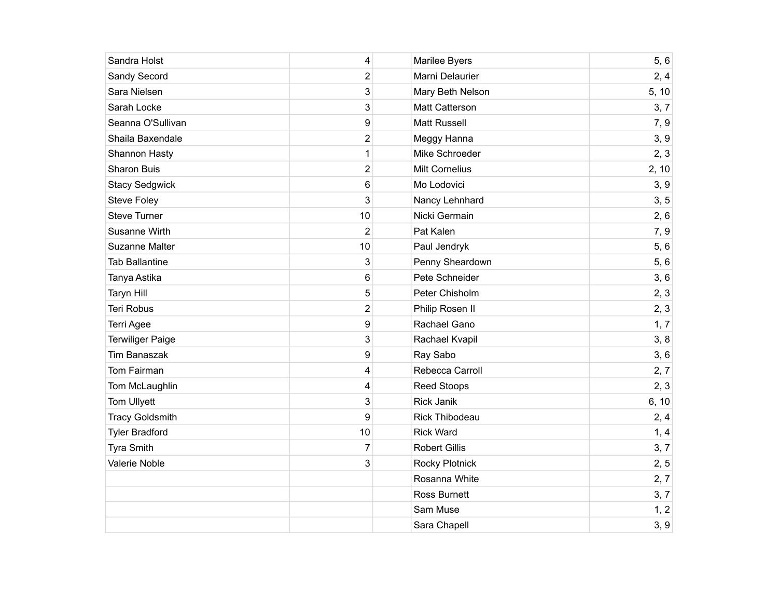| Sandra Holst            | 4                       | Marilee Byers         | 5, 6  |
|-------------------------|-------------------------|-----------------------|-------|
| Sandy Secord            | 2                       | Marni Delaurier       | 2, 4  |
| Sara Nielsen            | 3                       | Mary Beth Nelson      | 5, 10 |
| Sarah Locke             | 3                       | Matt Catterson        | 3, 7  |
| Seanna O'Sullivan       | 9                       | <b>Matt Russell</b>   | 7, 9  |
| Shaila Baxendale        | $\overline{\mathbf{c}}$ | Meggy Hanna           | 3, 9  |
| Shannon Hasty           | $\mathbf 1$             | Mike Schroeder        | 2, 3  |
| Sharon Buis             | $\mathbf 2$             | <b>Milt Cornelius</b> | 2, 10 |
| <b>Stacy Sedgwick</b>   | 6                       | Mo Lodovici           | 3, 9  |
| <b>Steve Foley</b>      | 3                       | Nancy Lehnhard        | 3, 5  |
| <b>Steve Turner</b>     | 10                      | Nicki Germain         | 2, 6  |
| Susanne Wirth           | $\overline{2}$          | Pat Kalen             | 7,9   |
| Suzanne Malter          | 10                      | Paul Jendryk          | 5,6   |
| <b>Tab Ballantine</b>   | 3                       | Penny Sheardown       | 5, 6  |
| Tanya Astika            | 6                       | Pete Schneider        | 3, 6  |
| <b>Taryn Hill</b>       | 5                       | Peter Chisholm        | 2, 3  |
| Teri Robus              | $\overline{2}$          | Philip Rosen II       | 2, 3  |
| Terri Agee              | 9                       | Rachael Gano          | 1, 7  |
| <b>Terwiliger Paige</b> | 3                       | Rachael Kvapil        | 3, 8  |
| <b>Tim Banaszak</b>     | 9                       | Ray Sabo              | 3, 6  |
| Tom Fairman             | 4                       | Rebecca Carroll       | 2, 7  |
| Tom McLaughlin          | 4                       | <b>Reed Stoops</b>    | 2, 3  |
| Tom Ullyett             | 3                       | <b>Rick Janik</b>     | 6, 10 |
| <b>Tracy Goldsmith</b>  | 9                       | <b>Rick Thibodeau</b> | 2, 4  |
| <b>Tyler Bradford</b>   | 10                      | <b>Rick Ward</b>      | 1, 4  |
| Tyra Smith              | 7                       | <b>Robert Gillis</b>  | 3, 7  |
| Valerie Noble           | 3                       | <b>Rocky Plotnick</b> | 2, 5  |
|                         |                         | Rosanna White         | 2, 7  |
|                         |                         | <b>Ross Burnett</b>   | 3, 7  |
|                         |                         | Sam Muse              | 1, 2  |
|                         |                         | Sara Chapell          | 3, 9  |